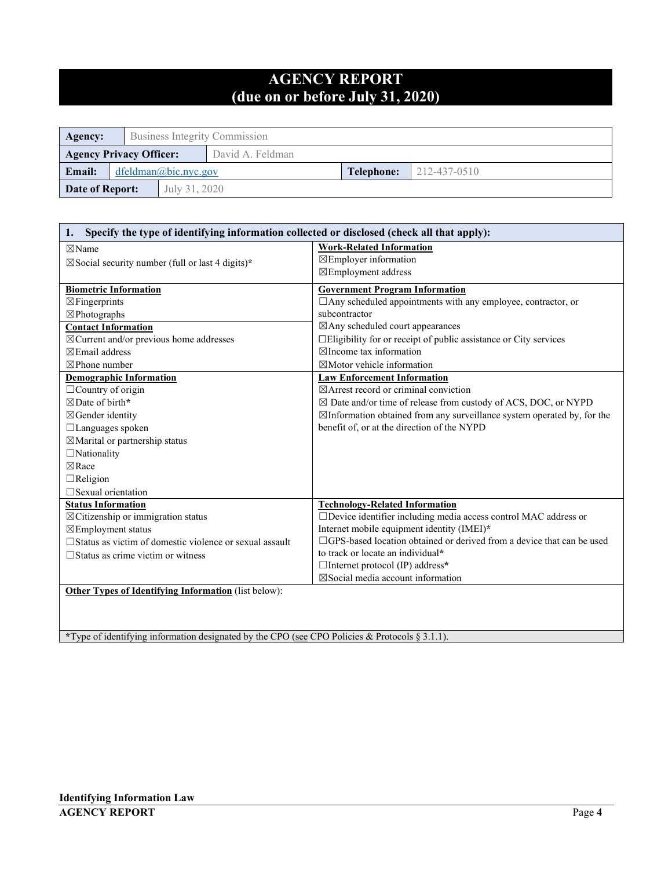# **AGENCY REPORT (due on or before July 31, 2020)**

| Agency:                           | Business Integrity Commission |               |                  |  |  |
|-----------------------------------|-------------------------------|---------------|------------------|--|--|
| <b>Agency Privacy Officer:</b>    |                               |               | David A. Feldman |  |  |
| Email:<br>$d$ feldman@bic.nyc.gov |                               | Telephone:    | 212-437-0510     |  |  |
| Date of Report:                   |                               | July 31, 2020 |                  |  |  |

| Specify the type of identifying information collected or disclosed (check all that apply):<br>1. |                                                                                    |  |  |  |
|--------------------------------------------------------------------------------------------------|------------------------------------------------------------------------------------|--|--|--|
| $\boxtimes$ Name                                                                                 | <b>Work-Related Information</b>                                                    |  |  |  |
| $\boxtimes$ Social security number (full or last 4 digits)*                                      | ⊠Employer information                                                              |  |  |  |
|                                                                                                  | ⊠Employment address                                                                |  |  |  |
| <b>Biometric Information</b>                                                                     | <b>Government Program Information</b>                                              |  |  |  |
| $\boxtimes$ Fingerprints                                                                         | □ Any scheduled appointments with any employee, contractor, or                     |  |  |  |
| $\boxtimes$ Photographs                                                                          | subcontractor                                                                      |  |  |  |
| <b>Contact Information</b>                                                                       | ⊠Any scheduled court appearances                                                   |  |  |  |
| $\boxtimes$ Current and/or previous home addresses                                               | □Eligibility for or receipt of public assistance or City services                  |  |  |  |
| $\boxtimes$ Email address                                                                        | $\boxtimes$ Income tax information                                                 |  |  |  |
| $\boxtimes$ Phone number                                                                         | $\boxtimes$ Motor vehicle information                                              |  |  |  |
| <b>Demographic Information</b>                                                                   | <b>Law Enforcement Information</b>                                                 |  |  |  |
| $\Box$ Country of origin                                                                         | $\boxtimes$ Arrest record or criminal conviction                                   |  |  |  |
| ⊠Date of birth*                                                                                  | $\boxtimes$ Date and/or time of release from custody of ACS, DOC, or NYPD          |  |  |  |
| ⊠Gender identity                                                                                 | $\boxtimes$ Information obtained from any surveillance system operated by, for the |  |  |  |
| □Languages spoken                                                                                | benefit of, or at the direction of the NYPD                                        |  |  |  |
| $\boxtimes$ Marital or partnership status                                                        |                                                                                    |  |  |  |
| $\Box$ Nationality                                                                               |                                                                                    |  |  |  |
| $\n  Re$                                                                                         |                                                                                    |  |  |  |
| $\Box$ Religion                                                                                  |                                                                                    |  |  |  |
| $\Box$ Sexual orientation                                                                        |                                                                                    |  |  |  |
| <b>Status Information</b>                                                                        | <b>Technology-Related Information</b>                                              |  |  |  |
| $\boxtimes$ Citizenship or immigration status                                                    | □Device identifier including media access control MAC address or                   |  |  |  |
| ⊠Employment status                                                                               | Internet mobile equipment identity (IMEI)*                                         |  |  |  |
| □ Status as victim of domestic violence or sexual assault                                        | □GPS-based location obtained or derived from a device that can be used             |  |  |  |
| $\Box$ Status as crime victim or witness                                                         | to track or locate an individual*                                                  |  |  |  |
|                                                                                                  | $\Box$ Internet protocol (IP) address*                                             |  |  |  |
|                                                                                                  | $\nabla$ Social media account information                                          |  |  |  |
| <b>Other Types of Identifying Information</b> (list below):                                      |                                                                                    |  |  |  |
|                                                                                                  |                                                                                    |  |  |  |
|                                                                                                  |                                                                                    |  |  |  |
|                                                                                                  |                                                                                    |  |  |  |

**\***Type of identifying information designated by the CPO (see CPO Policies & Protocols § 3.1.1).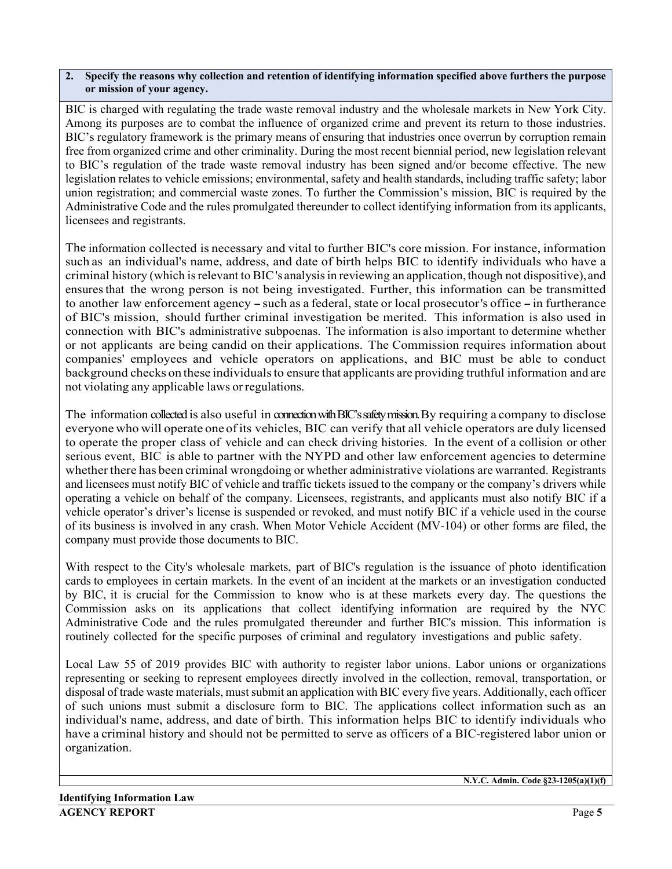### **2. Specify the reasons why collection and retention of identifying information specified above furthers the purpose or mission of your agency.**

BIC is charged with regulating the trade waste removal industry and the wholesale markets in New York City. Among its purposes are to combat the influence of organized crime and prevent its return to those industries. BIC's regulatory framework is the primary means of ensuring that industries once overrun by corruption remain free from organized crime and other criminality. During the most recent biennial period, new legislation relevant to BIC's regulation of the trade waste removal industry has been signed and/or become effective. The new legislation relates to vehicle emissions; environmental, safety and health standards, including traffic safety; labor union registration; and commercial waste zones. To further the Commission's mission, BIC is required by the Administrative Code and the rules promulgated thereunder to collect identifying information from its applicants, licensees and registrants.

The information collected is necessary and vital to further BIC's core mission. For instance, information such as an individual's name, address, and date of birth helps BIC to identify individuals who have a criminal history (which is relevant to BIC's analysis in reviewing an application, though not dispositive), and ensuresthat the wrong person is not being investigated. Further, this information can be transmitted to another law enforcement agency -such as <sup>a</sup> federal, state or local prosecutor's office -in furtherance of BIC's mission, should further criminal investigation be merited. This information is also used in connection with BIC's administrative subpoenas. The information is also important to determine whether or not applicants are being candid on their applications. The Commission requires information about companies' employees and vehicle operators on applications, and BIC must be able to conduct background checks on these individualsto ensure that applicants are providing truthful information and are not violating any applicable laws or regulations.

The information collected is also useful in connection with BIC's safety mission. By requiring a company to disclose everyone who will operate one of its vehicles, BIC can verify that all vehicle operators are duly licensed to operate the proper class of vehicle and can check driving histories. In the event of a collision or other serious event, BIC is able to partner with the NYPD and other law enforcement agencies to determine whether there has been criminal wrongdoing or whether administrative violations are warranted. Registrants and licensees must notify BIC of vehicle and traffic tickets issued to the company or the company's drivers while operating a vehicle on behalf of the company. Licensees, registrants, and applicants must also notify BIC if a vehicle operator's driver's license is suspended or revoked, and must notify BIC if a vehicle used in the course of its business is involved in any crash. When Motor Vehicle Accident (MV-104) or other forms are filed, the company must provide those documents to BIC.

With respect to the City's wholesale markets, part of BIC's regulation is the issuance of photo identification cards to employees in certain markets. In the event of an incident at the markets or an investigation conducted by BIC, it is crucial for the Commission to know who is at these markets every day. The questions the Commission asks on its applications that collect identifying information are required by the NYC Administrative Code and the rules promulgated thereunder and further BIC's mission. This information is routinely collected for the specific purposes of criminal and regulatory investigations and public safety.

Local Law 55 of 2019 provides BIC with authority to register labor unions. Labor unions or organizations representing or seeking to represent employees directly involved in the collection, removal, transportation, or disposal of trade waste materials, must submit an application with BIC every five years. Additionally, each officer of such unions must submit a disclosure form to BIC. The applications collect information such as an individual's name, address, and date of birth. This information helps BIC to identify individuals who have a criminal history and should not be permitted to serve as officers of a BIC-registered labor union or organization.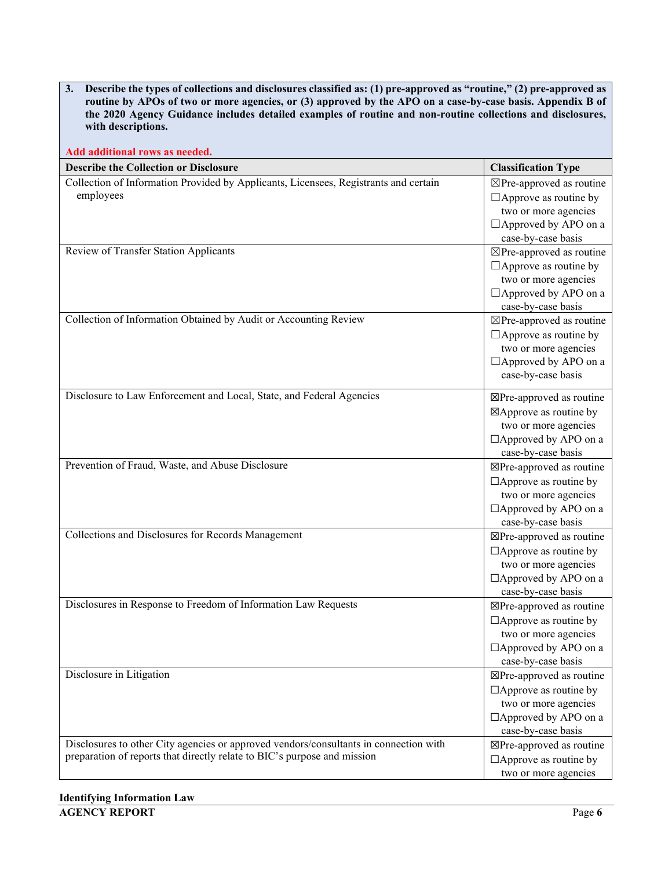| Describe the types of collections and disclosures classified as: (1) pre-approved as "routine," (2) pre-approved as<br>3.<br>routine by APOs of two or more agencies, or (3) approved by the APO on a case-by-case basis. Appendix B of<br>the 2020 Agency Guidance includes detailed examples of routine and non-routine collections and disclosures,<br>with descriptions. |                                                     |  |  |
|------------------------------------------------------------------------------------------------------------------------------------------------------------------------------------------------------------------------------------------------------------------------------------------------------------------------------------------------------------------------------|-----------------------------------------------------|--|--|
| Add additional rows as needed.                                                                                                                                                                                                                                                                                                                                               |                                                     |  |  |
| <b>Describe the Collection or Disclosure</b>                                                                                                                                                                                                                                                                                                                                 | <b>Classification Type</b>                          |  |  |
| Collection of Information Provided by Applicants, Licensees, Registrants and certain                                                                                                                                                                                                                                                                                         | $\boxtimes$ Pre-approved as routine                 |  |  |
| employees                                                                                                                                                                                                                                                                                                                                                                    | $\Box$ Approve as routine by                        |  |  |
|                                                                                                                                                                                                                                                                                                                                                                              | two or more agencies                                |  |  |
|                                                                                                                                                                                                                                                                                                                                                                              | $\Box$ Approved by APO on a                         |  |  |
|                                                                                                                                                                                                                                                                                                                                                                              | case-by-case basis                                  |  |  |
| Review of Transfer Station Applicants                                                                                                                                                                                                                                                                                                                                        | $\boxtimes$ Pre-approved as routine                 |  |  |
|                                                                                                                                                                                                                                                                                                                                                                              | $\Box$ Approve as routine by                        |  |  |
|                                                                                                                                                                                                                                                                                                                                                                              | two or more agencies                                |  |  |
|                                                                                                                                                                                                                                                                                                                                                                              | □ Approved by APO on a                              |  |  |
|                                                                                                                                                                                                                                                                                                                                                                              | case-by-case basis                                  |  |  |
| Collection of Information Obtained by Audit or Accounting Review                                                                                                                                                                                                                                                                                                             | $\boxtimes$ Pre-approved as routine                 |  |  |
|                                                                                                                                                                                                                                                                                                                                                                              | $\Box$ Approve as routine by                        |  |  |
|                                                                                                                                                                                                                                                                                                                                                                              | two or more agencies<br>$\Box$ Approved by APO on a |  |  |
|                                                                                                                                                                                                                                                                                                                                                                              | case-by-case basis                                  |  |  |
|                                                                                                                                                                                                                                                                                                                                                                              |                                                     |  |  |
| Disclosure to Law Enforcement and Local, State, and Federal Agencies                                                                                                                                                                                                                                                                                                         | ⊠Pre-approved as routine                            |  |  |
|                                                                                                                                                                                                                                                                                                                                                                              | ⊠Approve as routine by                              |  |  |
|                                                                                                                                                                                                                                                                                                                                                                              | two or more agencies                                |  |  |
|                                                                                                                                                                                                                                                                                                                                                                              | $\Box$ Approved by APO on a                         |  |  |
|                                                                                                                                                                                                                                                                                                                                                                              | case-by-case basis                                  |  |  |
| Prevention of Fraud, Waste, and Abuse Disclosure                                                                                                                                                                                                                                                                                                                             | ⊠Pre-approved as routine                            |  |  |
|                                                                                                                                                                                                                                                                                                                                                                              | $\Box$ Approve as routine by                        |  |  |
|                                                                                                                                                                                                                                                                                                                                                                              | two or more agencies                                |  |  |
|                                                                                                                                                                                                                                                                                                                                                                              | $\Box$ Approved by APO on a                         |  |  |
| Collections and Disclosures for Records Management                                                                                                                                                                                                                                                                                                                           | case-by-case basis                                  |  |  |
|                                                                                                                                                                                                                                                                                                                                                                              | ⊠Pre-approved as routine                            |  |  |
|                                                                                                                                                                                                                                                                                                                                                                              | $\Box$ Approve as routine by                        |  |  |
|                                                                                                                                                                                                                                                                                                                                                                              | two or more agencies<br>$\Box$ Approved by APO on a |  |  |
|                                                                                                                                                                                                                                                                                                                                                                              | case-by-case basis                                  |  |  |
| Disclosures in Response to Freedom of Information Law Requests                                                                                                                                                                                                                                                                                                               | ⊠Pre-approved as routine                            |  |  |
|                                                                                                                                                                                                                                                                                                                                                                              | $\Box$ Approve as routine by                        |  |  |
|                                                                                                                                                                                                                                                                                                                                                                              | two or more agencies                                |  |  |
|                                                                                                                                                                                                                                                                                                                                                                              | $\Box$ Approved by APO on a                         |  |  |
|                                                                                                                                                                                                                                                                                                                                                                              | case-by-case basis                                  |  |  |
| Disclosure in Litigation                                                                                                                                                                                                                                                                                                                                                     | ⊠Pre-approved as routine                            |  |  |
|                                                                                                                                                                                                                                                                                                                                                                              | $\Box$ Approve as routine by                        |  |  |
|                                                                                                                                                                                                                                                                                                                                                                              | two or more agencies                                |  |  |
|                                                                                                                                                                                                                                                                                                                                                                              | $\Box$ Approved by APO on a                         |  |  |
|                                                                                                                                                                                                                                                                                                                                                                              | case-by-case basis                                  |  |  |
| Disclosures to other City agencies or approved vendors/consultants in connection with                                                                                                                                                                                                                                                                                        | ⊠Pre-approved as routine                            |  |  |
| preparation of reports that directly relate to BIC's purpose and mission                                                                                                                                                                                                                                                                                                     | $\Box$ Approve as routine by                        |  |  |
|                                                                                                                                                                                                                                                                                                                                                                              | two or more agencies                                |  |  |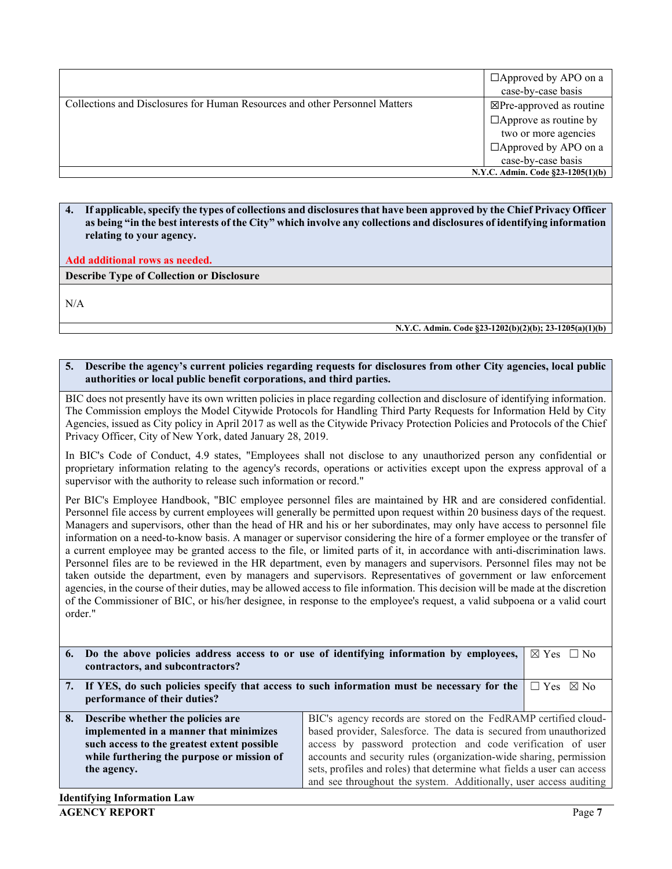|                                                                             | $\Box$ Approved by APO on a<br>case-by-case basis |
|-----------------------------------------------------------------------------|---------------------------------------------------|
| Collections and Disclosures for Human Resources and other Personnel Matters | ⊠Pre-approved as routine                          |
|                                                                             | $\Box$ Approve as routine by                      |
|                                                                             | two or more agencies                              |
|                                                                             | $\Box$ Approved by APO on a                       |
|                                                                             | case-by-case basis                                |
|                                                                             | N.Y.C. Admin. Code §23-1205(1)(b)                 |

**4. If applicable, specify the types of collections and disclosuresthat have been approved by the Chief Privacy Officer as being "in the best interests of the City" which involve any collections and disclosures of identifying information relating to your agency.**

**Add additional rows as needed.**

**Describe Type of Collection or Disclosure**

N/A

**N.Y.C. Admin. Code §23-1202(b)(2)(b); 23-1205(a)(1)(b)**

#### **5. Describe the agency's current policies regarding requests for disclosures from other City agencies, local public authorities or local public benefit corporations, and third parties.**

BIC does not presently have its own written policies in place regarding collection and disclosure of identifying information. The Commission employs the Model Citywide Protocols for Handling Third Party Requests for Information Held by City Agencies, issued as City policy in April 2017 as well as the Citywide Privacy Protection Policies and Protocols of the Chief Privacy Officer, City of New York, dated January 28, 2019.

In BIC's Code of Conduct, 4.9 states, "Employees shall not disclose to any unauthorized person any confidential or proprietary information relating to the agency's records, operations or activities except upon the express approval of a supervisor with the authority to release such information or record."

Per BIC's Employee Handbook, "BIC employee personnel files are maintained by HR and are considered confidential. Personnel file access by current employees will generally be permitted upon request within 20 business days of the request. Managers and supervisors, other than the head of HR and his or her subordinates, may only have access to personnel file information on a need-to-know basis. A manager or supervisor considering the hire of a former employee or the transfer of a current employee may be granted access to the file, or limited parts of it, in accordance with anti-discrimination laws. Personnel files are to be reviewed in the HR department, even by managers and supervisors. Personnel files may not be taken outside the department, even by managers and supervisors. Representatives of government or law enforcement agencies, in the course of their duties, may be allowed access to file information. This decision will be made at the discretion of the Commissioner of BIC, or his/her designee, in response to the employee's request, a valid subpoena or a valid court order."

|    | 6. Do the above policies address access to or use of identifying information by employees,                       |                                                                   | $\boxtimes$ Yes $\Box$ No |  |
|----|------------------------------------------------------------------------------------------------------------------|-------------------------------------------------------------------|---------------------------|--|
|    | contractors, and subcontractors?                                                                                 |                                                                   |                           |  |
|    | 7. If YES, do such policies specify that access to such information must be necessary for the                    |                                                                   | $\Box$ Yes $\boxtimes$ No |  |
|    | performance of their duties?                                                                                     |                                                                   |                           |  |
| 8. | BIC's agency records are stored on the FedRAMP certified cloud-<br>Describe whether the policies are             |                                                                   |                           |  |
|    | based provider, Salesforce. The data is secured from unauthorized<br>implemented in a manner that minimizes      |                                                                   |                           |  |
|    | access by password protection and code verification of user<br>such access to the greatest extent possible       |                                                                   |                           |  |
|    | accounts and security rules (organization-wide sharing, permission<br>while furthering the purpose or mission of |                                                                   |                           |  |
|    | sets, profiles and roles) that determine what fields a user can access<br>the agency.                            |                                                                   |                           |  |
|    |                                                                                                                  | and see throughout the system. Additionally, user access auditing |                           |  |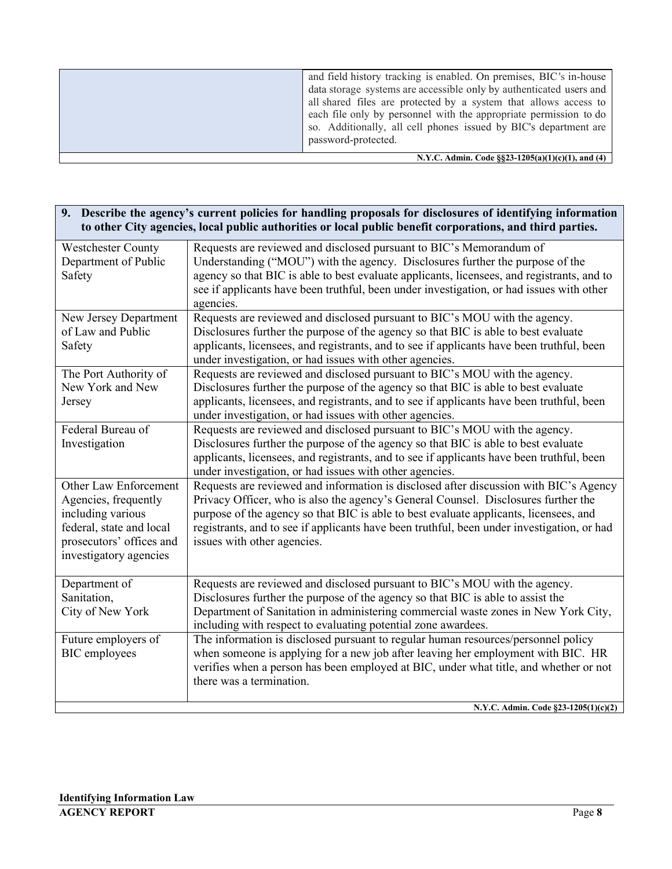| N.Y.C. Admin. Code §§23-1205(a)(1)(c)(1), and (4) |                                                                                                                                                                                                                                                                                                                                                                               |  |
|---------------------------------------------------|-------------------------------------------------------------------------------------------------------------------------------------------------------------------------------------------------------------------------------------------------------------------------------------------------------------------------------------------------------------------------------|--|
|                                                   | and field history tracking is enabled. On premises, BIC's in-house<br>data storage systems are accessible only by authenticated users and<br>all shared files are protected by a system that allows access to<br>each file only by personnel with the appropriate permission to do<br>so. Additionally, all cell phones issued by BIC's department are<br>password-protected. |  |

| 9. Describe the agency's current policies for handling proposals for disclosures of identifying information |
|-------------------------------------------------------------------------------------------------------------|
| to other City agencies, local public authorities or local public benefit corporations, and third parties.   |

| <b>Westchester County</b> | Requests are reviewed and disclosed pursuant to BIC's Memorandum of                        |
|---------------------------|--------------------------------------------------------------------------------------------|
| Department of Public      | Understanding ("MOU") with the agency. Disclosures further the purpose of the              |
| Safety                    | agency so that BIC is able to best evaluate applicants, licensees, and registrants, and to |
|                           | see if applicants have been truthful, been under investigation, or had issues with other   |
|                           | agencies.                                                                                  |
| New Jersey Department     | Requests are reviewed and disclosed pursuant to BIC's MOU with the agency.                 |
| of Law and Public         | Disclosures further the purpose of the agency so that BIC is able to best evaluate         |
| Safety                    | applicants, licensees, and registrants, and to see if applicants have been truthful, been  |
|                           | under investigation, or had issues with other agencies.                                    |
| The Port Authority of     | Requests are reviewed and disclosed pursuant to BIC's MOU with the agency.                 |
| New York and New          | Disclosures further the purpose of the agency so that BIC is able to best evaluate         |
| Jersey                    | applicants, licensees, and registrants, and to see if applicants have been truthful, been  |
|                           | under investigation, or had issues with other agencies.                                    |
| Federal Bureau of         | Requests are reviewed and disclosed pursuant to BIC's MOU with the agency.                 |
| Investigation             | Disclosures further the purpose of the agency so that BIC is able to best evaluate         |
|                           | applicants, licensees, and registrants, and to see if applicants have been truthful, been  |
|                           | under investigation, or had issues with other agencies.                                    |
| Other Law Enforcement     | Requests are reviewed and information is disclosed after discussion with BIC's Agency      |
| Agencies, frequently      | Privacy Officer, who is also the agency's General Counsel. Disclosures further the         |
| including various         | purpose of the agency so that BIC is able to best evaluate applicants, licensees, and      |
| federal, state and local  | registrants, and to see if applicants have been truthful, been under investigation, or had |
| prosecutors' offices and  | issues with other agencies.                                                                |
| investigatory agencies    |                                                                                            |
|                           |                                                                                            |
| Department of             | Requests are reviewed and disclosed pursuant to BIC's MOU with the agency.                 |
| Sanitation,               | Disclosures further the purpose of the agency so that BIC is able to assist the            |
| City of New York          | Department of Sanitation in administering commercial waste zones in New York City,         |
|                           | including with respect to evaluating potential zone awardees.                              |
| Future employers of       | The information is disclosed pursuant to regular human resources/personnel policy          |
| <b>BIC</b> employees      | when someone is applying for a new job after leaving her employment with BIC. HR           |
|                           | verifies when a person has been employed at BIC, under what title, and whether or not      |
|                           | there was a termination.                                                                   |
|                           |                                                                                            |
|                           | N.Y.C. Admin. Code §23-1205(1)(c)(2)                                                       |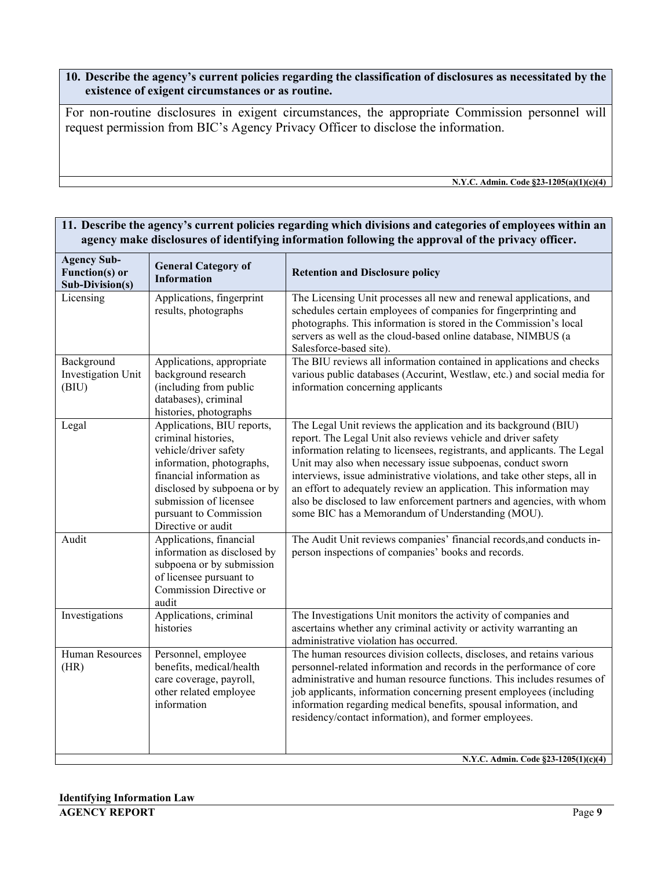**10. Describe the agency's current policies regarding the classification of disclosures as necessitated by the existence of exigent circumstances or as routine.**

For non-routine disclosures in exigent circumstances, the appropriate Commission personnel will request permission from BIC's Agency Privacy Officer to disclose the information.

**N.Y.C. Admin. Code §23-1205(a)(1)(c)(4)**

# **11. Describe the agency's current policies regarding which divisions and categories of employees within an agency make disclosures of identifying information following the approval of the privacy officer.**

| <b>Agency Sub-</b><br><b>General Category of</b><br>Function(s) or<br><b>Information</b><br>Sub-Division(s) |                                                                                                                                                                                                                                              | <b>Retention and Disclosure policy</b>                                                                                                                                                                                                                                                                                                                                                                                                                                                                                                                         |
|-------------------------------------------------------------------------------------------------------------|----------------------------------------------------------------------------------------------------------------------------------------------------------------------------------------------------------------------------------------------|----------------------------------------------------------------------------------------------------------------------------------------------------------------------------------------------------------------------------------------------------------------------------------------------------------------------------------------------------------------------------------------------------------------------------------------------------------------------------------------------------------------------------------------------------------------|
| Licensing                                                                                                   | Applications, fingerprint<br>results, photographs                                                                                                                                                                                            | The Licensing Unit processes all new and renewal applications, and<br>schedules certain employees of companies for fingerprinting and<br>photographs. This information is stored in the Commission's local<br>servers as well as the cloud-based online database, NIMBUS (a<br>Salesforce-based site).                                                                                                                                                                                                                                                         |
| Background<br>Investigation Unit<br>(BIU)                                                                   | Applications, appropriate<br>background research<br>(including from public<br>databases), criminal<br>histories, photographs                                                                                                                 | The BIU reviews all information contained in applications and checks<br>various public databases (Accurint, Westlaw, etc.) and social media for<br>information concerning applicants                                                                                                                                                                                                                                                                                                                                                                           |
| Legal                                                                                                       | Applications, BIU reports,<br>criminal histories,<br>vehicle/driver safety<br>information, photographs,<br>financial information as<br>disclosed by subpoena or by<br>submission of licensee<br>pursuant to Commission<br>Directive or audit | The Legal Unit reviews the application and its background (BIU)<br>report. The Legal Unit also reviews vehicle and driver safety<br>information relating to licensees, registrants, and applicants. The Legal<br>Unit may also when necessary issue subpoenas, conduct sworn<br>interviews, issue administrative violations, and take other steps, all in<br>an effort to adequately review an application. This information may<br>also be disclosed to law enforcement partners and agencies, with whom<br>some BIC has a Memorandum of Understanding (MOU). |
| Audit                                                                                                       | Applications, financial<br>information as disclosed by<br>subpoena or by submission<br>of licensee pursuant to<br>Commission Directive or<br>audit                                                                                           | The Audit Unit reviews companies' financial records, and conducts in-<br>person inspections of companies' books and records.                                                                                                                                                                                                                                                                                                                                                                                                                                   |
| Investigations                                                                                              | Applications, criminal<br>histories                                                                                                                                                                                                          | The Investigations Unit monitors the activity of companies and<br>ascertains whether any criminal activity or activity warranting an<br>administrative violation has occurred.                                                                                                                                                                                                                                                                                                                                                                                 |
| Human Resources<br>(HR)                                                                                     | Personnel, employee<br>benefits, medical/health<br>care coverage, payroll,<br>other related employee<br>information                                                                                                                          | The human resources division collects, discloses, and retains various<br>personnel-related information and records in the performance of core<br>administrative and human resource functions. This includes resumes of<br>job applicants, information concerning present employees (including<br>information regarding medical benefits, spousal information, and<br>residency/contact information), and former employees.                                                                                                                                     |

**N.Y.C. Admin. Code §23-1205(1)(c)(4)**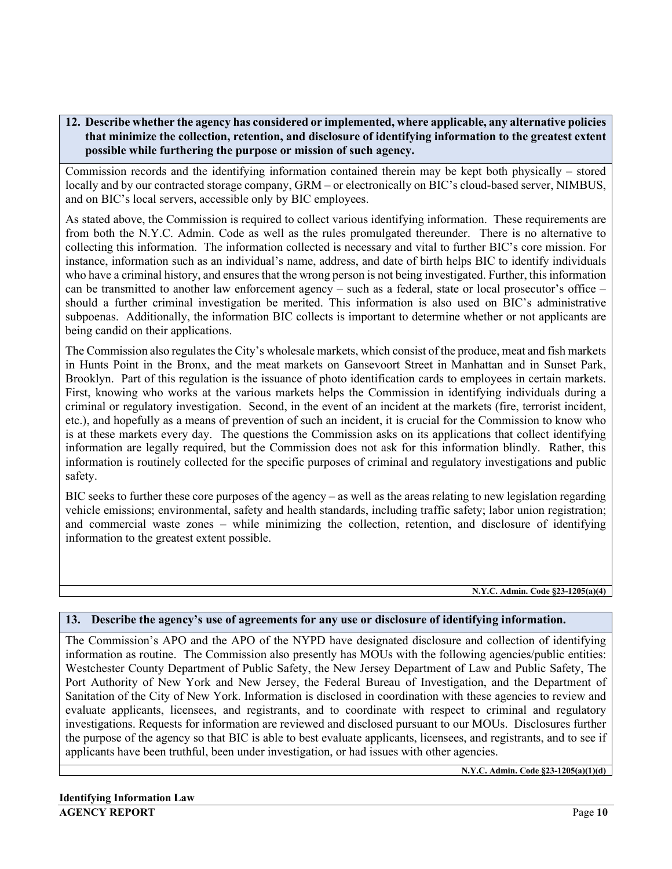# **12. Describe whether the agency has considered or implemented, where applicable, any alternative policies that minimize the collection, retention, and disclosure of identifying information to the greatest extent possible while furthering the purpose or mission of such agency.**

Commission records and the identifying information contained therein may be kept both physically – stored locally and by our contracted storage company, GRM – or electronically on BIC's cloud-based server, NIMBUS, and on BIC's local servers, accessible only by BIC employees.

As stated above, the Commission is required to collect various identifying information. These requirements are from both the N.Y.C. Admin. Code as well as the rules promulgated thereunder. There is no alternative to collecting this information. The information collected is necessary and vital to further BIC's core mission. For instance, information such as an individual's name, address, and date of birth helps BIC to identify individuals who have a criminal history, and ensures that the wrong person is not being investigated. Further, this information can be transmitted to another law enforcement agency – such as a federal, state or local prosecutor's office – should a further criminal investigation be merited. This information is also used on BIC's administrative subpoenas. Additionally, the information BIC collects is important to determine whether or not applicants are being candid on their applications.

The Commission also regulates the City's wholesale markets, which consist of the produce, meat and fish markets in Hunts Point in the Bronx, and the meat markets on Gansevoort Street in Manhattan and in Sunset Park, Brooklyn. Part of this regulation is the issuance of photo identification cards to employees in certain markets. First, knowing who works at the various markets helps the Commission in identifying individuals during a criminal or regulatory investigation. Second, in the event of an incident at the markets (fire, terrorist incident, etc.), and hopefully as a means of prevention of such an incident, it is crucial for the Commission to know who is at these markets every day. The questions the Commission asks on its applications that collect identifying information are legally required, but the Commission does not ask for this information blindly. Rather, this information is routinely collected for the specific purposes of criminal and regulatory investigations and public safety.

BIC seeks to further these core purposes of the agency – as well as the areas relating to new legislation regarding vehicle emissions; environmental, safety and health standards, including traffic safety; labor union registration; and commercial waste zones – while minimizing the collection, retention, and disclosure of identifying information to the greatest extent possible.

**N.Y.C. Admin. Code §23-1205(a)(4)**

#### **13. Describe the agency's use of agreements for any use or disclosure of identifying information.**

The Commission's APO and the APO of the NYPD have designated disclosure and collection of identifying information as routine. The Commission also presently has MOUs with the following agencies/public entities: Westchester County Department of Public Safety, the New Jersey Department of Law and Public Safety, The Port Authority of New York and New Jersey, the Federal Bureau of Investigation, and the Department of Sanitation of the City of New York. Information is disclosed in coordination with these agencies to review and evaluate applicants, licensees, and registrants, and to coordinate with respect to criminal and regulatory investigations. Requests for information are reviewed and disclosed pursuant to our MOUs. Disclosures further the purpose of the agency so that BIC is able to best evaluate applicants, licensees, and registrants, and to see if applicants have been truthful, been under investigation, or had issues with other agencies.

**N.Y.C. Admin. Code §23-1205(a)(1)(d)**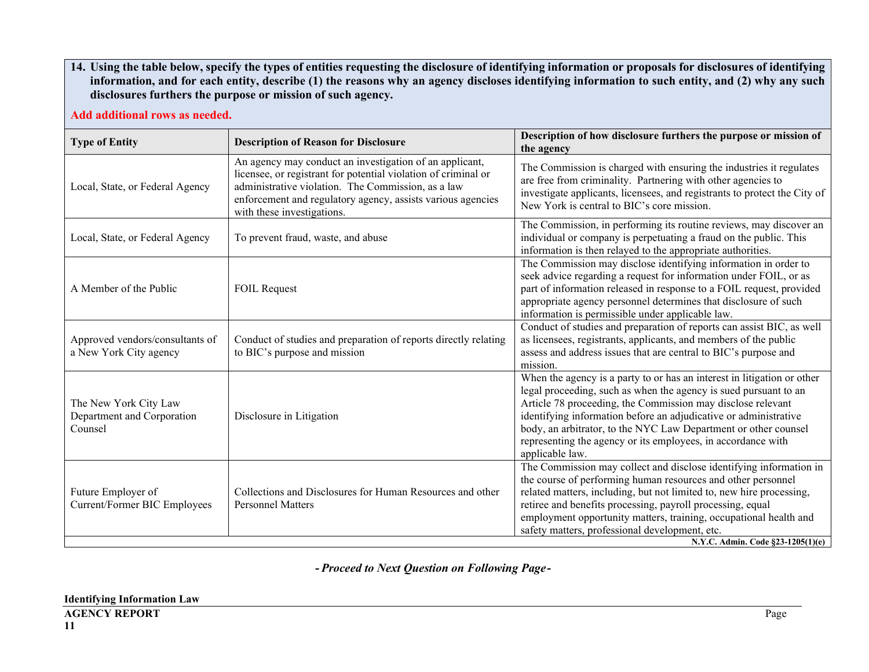**14. Using the table below, specify the types of entities requesting the disclosure of identifying information or proposals for disclosures of identifying information, and for each entity, describe (1) the reasons why an agency discloses identifying information to such entity, and (2) why any such disclosures furthers the purpose or mission of such agency.**

**Add additional rows as needed.**

| <b>Type of Entity</b>                                          | <b>Description of Reason for Disclosure</b>                                                                                                                                                                                                                                  | Description of how disclosure furthers the purpose or mission of<br>the agency                                                                                                                                                                                                                                                                                                                                                                                                                                                                |  |
|----------------------------------------------------------------|------------------------------------------------------------------------------------------------------------------------------------------------------------------------------------------------------------------------------------------------------------------------------|-----------------------------------------------------------------------------------------------------------------------------------------------------------------------------------------------------------------------------------------------------------------------------------------------------------------------------------------------------------------------------------------------------------------------------------------------------------------------------------------------------------------------------------------------|--|
| Local, State, or Federal Agency                                | An agency may conduct an investigation of an applicant,<br>licensee, or registrant for potential violation of criminal or<br>administrative violation. The Commission, as a law<br>enforcement and regulatory agency, assists various agencies<br>with these investigations. | The Commission is charged with ensuring the industries it regulates<br>are free from criminality. Partnering with other agencies to<br>investigate applicants, licensees, and registrants to protect the City of<br>New York is central to BIC's core mission.                                                                                                                                                                                                                                                                                |  |
| Local, State, or Federal Agency                                | To prevent fraud, waste, and abuse                                                                                                                                                                                                                                           | The Commission, in performing its routine reviews, may discover an<br>individual or company is perpetuating a fraud on the public. This<br>information is then relayed to the appropriate authorities.<br>The Commission may disclose identifying information in order to<br>seek advice regarding a request for information under FOIL, or as<br>part of information released in response to a FOIL request, provided<br>appropriate agency personnel determines that disclosure of such<br>information is permissible under applicable law. |  |
| A Member of the Public                                         | <b>FOIL Request</b>                                                                                                                                                                                                                                                          |                                                                                                                                                                                                                                                                                                                                                                                                                                                                                                                                               |  |
| Approved vendors/consultants of<br>a New York City agency      | Conduct of studies and preparation of reports directly relating<br>to BIC's purpose and mission                                                                                                                                                                              | Conduct of studies and preparation of reports can assist BIC, as well<br>as licensees, registrants, applicants, and members of the public<br>assess and address issues that are central to BIC's purpose and<br>mission.                                                                                                                                                                                                                                                                                                                      |  |
| The New York City Law<br>Department and Corporation<br>Counsel | Disclosure in Litigation                                                                                                                                                                                                                                                     | When the agency is a party to or has an interest in litigation or other<br>legal proceeding, such as when the agency is sued pursuant to an<br>Article 78 proceeding, the Commission may disclose relevant<br>identifying information before an adjudicative or administrative<br>body, an arbitrator, to the NYC Law Department or other counsel<br>representing the agency or its employees, in accordance with<br>applicable law.                                                                                                          |  |
| Future Employer of<br><b>Current/Former BIC Employees</b>      | Collections and Disclosures for Human Resources and other<br><b>Personnel Matters</b>                                                                                                                                                                                        | The Commission may collect and disclose identifying information in<br>the course of performing human resources and other personnel<br>related matters, including, but not limited to, new hire processing,<br>retiree and benefits processing, payroll processing, equal<br>employment opportunity matters, training, occupational health and<br>safety matters, professional development, etc.<br>N.Y.C. Admin. Code §23-1205(1)(e)                                                                                                          |  |

**-** *Proceed to Next Question on Following Page***-**